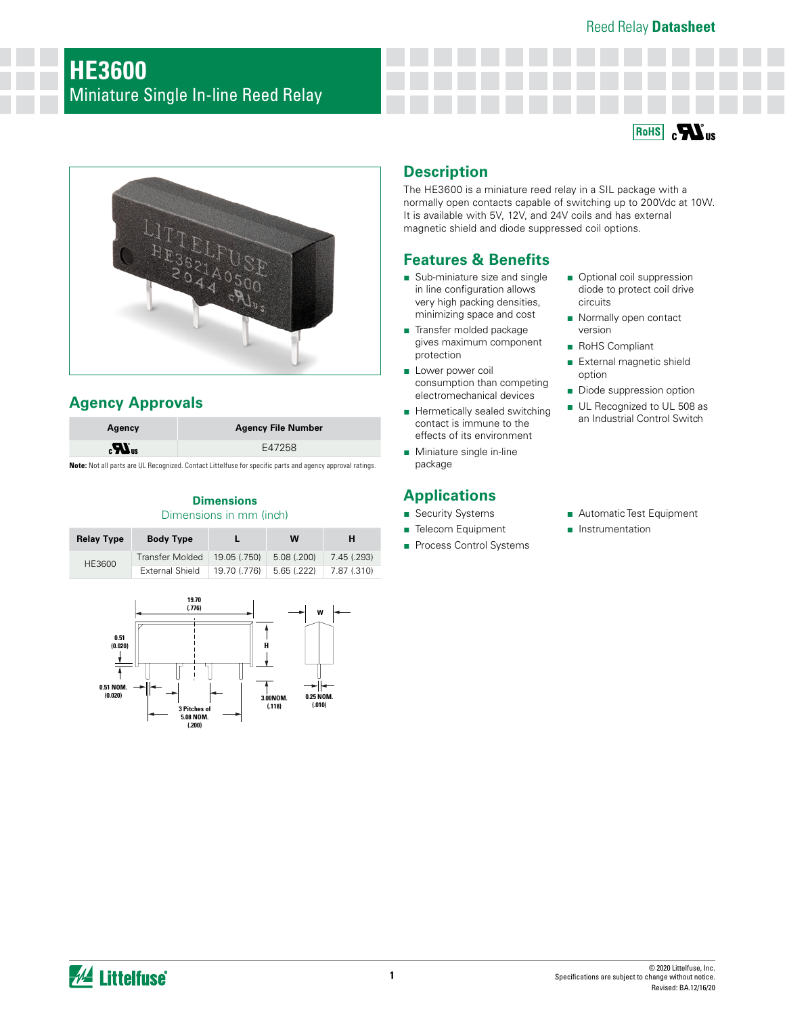



# **Agency Approvals**

| Agency                       | <b>Agency File Number</b> |
|------------------------------|---------------------------|
| $\boldsymbol{H}_{\text{us}}$ | E47258                    |

**Note:** Not all parts are UL Recognized. Contact Littelfuse for specific parts and agency approval ratings.

### **Dimensions** Dimensions in mm (inch)

| <b>Relay Type</b> | <b>Body Type</b>       |              | W          | н           |
|-------------------|------------------------|--------------|------------|-------------|
| HE3600            | <b>Transfer Molded</b> | 19.05 (.750) | 5.08(.200) | 7.45 (.293) |
|                   | External Shield        | 19.70 (.776) | 5.65(.222) | 7.87 (.310) |



## **Description**

The HE3600 is a miniature reed relay in a SIL package with a normally open contacts capable of switching up to 200Vdc at 10W. It is available with 5V, 12V, and 24V coils and has external magnetic shield and diode suppressed coil options.

## **Features & Benefits**

- Sub-miniature size and single in line configuration allows very high packing densities, minimizing space and cost
- Transfer molded package gives maximum component protection
- Lower power coil consumption than competing electromechanical devices
- Hermetically sealed switching contact is immune to the effects of its environment
- Miniature single in-line package

# **Applications**

- Security Systems
- Telecom Equipment
- Process Control Systems

diode to protect coil drive circuits ■ Normally open contact

■ Optional coil suppression

- version
- RoHS Compliant
- External magnetic shield option
- Diode suppression option
- UL Recognized to UL 508 as an Industrial Control Switch
- Automatic Test Equipment
- Instrumentation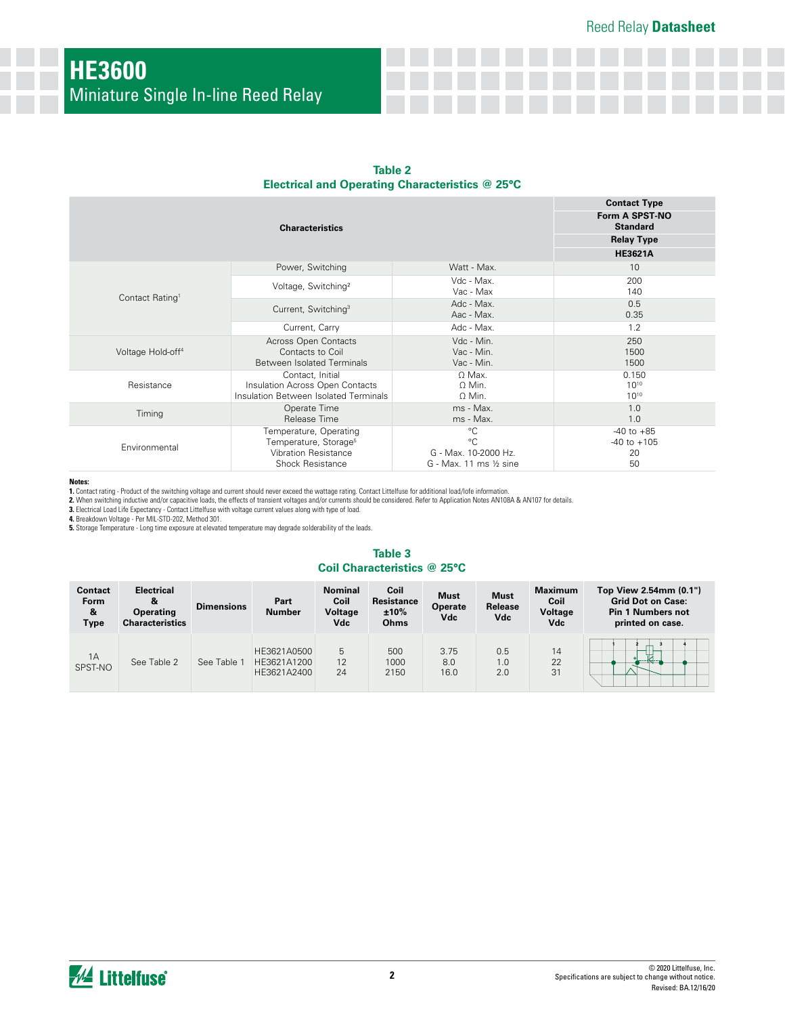| Table 2                                         |  |  |  |  |  |
|-------------------------------------------------|--|--|--|--|--|
| Electrical and Operating Characteristics @ 25°C |  |  |  |  |  |

|                               | <b>Contact Type</b><br>Form A SPST-NO<br><b>Standard</b><br><b>Relay Type</b>                                         |                                                                               |                                               |
|-------------------------------|-----------------------------------------------------------------------------------------------------------------------|-------------------------------------------------------------------------------|-----------------------------------------------|
|                               |                                                                                                                       |                                                                               | <b>HE3621A</b>                                |
|                               | Power, Switching                                                                                                      | Watt - Max.                                                                   | 10                                            |
| Contact Rating <sup>1</sup>   | Voltage, Switching <sup>2</sup>                                                                                       | Vdc - Max.<br>Vac - Max                                                       | 200<br>140                                    |
|                               | Current, Switching <sup>3</sup>                                                                                       | Adc - Max.<br>Aac - Max.                                                      | 0.5<br>0.35                                   |
|                               | Current, Carry                                                                                                        | Adc - Max.                                                                    | 1.2                                           |
| Voltage Hold-off <sup>4</sup> | <b>Across Open Contacts</b><br>Contacts to Coil<br><b>Between Isolated Terminals</b>                                  | Vdc - Min.<br>Vac - Min.<br>Vac - Min.                                        | 250<br>1500<br>1500                           |
| Resistance                    | Contact, Initial<br>Insulation Across Open Contacts<br><b>Insulation Between Isolated Terminals</b>                   | $\Omega$ Max.<br>$\Omega$ Min.<br>O Min.                                      | 0.150<br>$10^{10}$<br>$10^{10}$               |
| Timing                        | Operate Time<br>Release Time                                                                                          | ms - Max.<br>ms - Max.                                                        | 1.0<br>1.0                                    |
| Environmental                 | Temperature, Operating<br>Temperature, Storage <sup>5</sup><br><b>Vibration Resistance</b><br><b>Shock Resistance</b> | $^{\circ}C$<br>$^{\circ}C$<br>G - Max. 10-2000 Hz.<br>G - Max. 11 ms 1/2 sine | $-40$ to $+85$<br>$-40$ to $+105$<br>20<br>50 |

#### **Notes:**

**1.** Contact rating - Product of the switching voltage and current should never exceed the wattage rating. Contact Littelfuse for additional load/lofe information.

**2.** When switching inductive and/or capacitive loads, the effects of transient voltages and/or currents should be considered. Refer to Application Notes AN108A & AN107 for details.<br>**3.** Electrical Load Life Expectancy - C

**5.** Storage Temperature - Long time exposure at elevated temperature may degrade solderability of the leads.

### **Table 3 Coil Characteristics @ 25°C**

| <b>Contact</b><br>Form<br>&<br><b>Type</b> | <b>Electrical</b><br>&<br><b>Operating</b><br><b>Characteristics</b> | <b>Dimensions</b> | Part<br><b>Number</b>                     | <b>Nominal</b><br>Coil<br>Voltage<br>Vdc | Coil<br><b>Resistance</b><br>±10%<br>Ohms | <b>Must</b><br><b>Operate</b><br>Vdc | <b>Must</b><br>Release<br>Vdc | <b>Maximum</b><br>Coil<br><b>Voltage</b><br><b>Vdc</b> | Top View 2.54mm (0.1")<br><b>Grid Dot on Case:</b><br><b>Pin 1 Numbers not</b><br>printed on case. |
|--------------------------------------------|----------------------------------------------------------------------|-------------------|-------------------------------------------|------------------------------------------|-------------------------------------------|--------------------------------------|-------------------------------|--------------------------------------------------------|----------------------------------------------------------------------------------------------------|
| 1A<br>SPST-NO                              | See Table 2                                                          | See Table         | HE3621A0500<br>HE3621A1200<br>HE3621A2400 | 5<br>12<br>24                            | 500<br>1000<br>2150                       | 3.75<br>8.0<br>16.0                  | 0.5<br>1.0<br>2.0             | 14<br>22<br>31                                         | 1. KI 1                                                                                            |